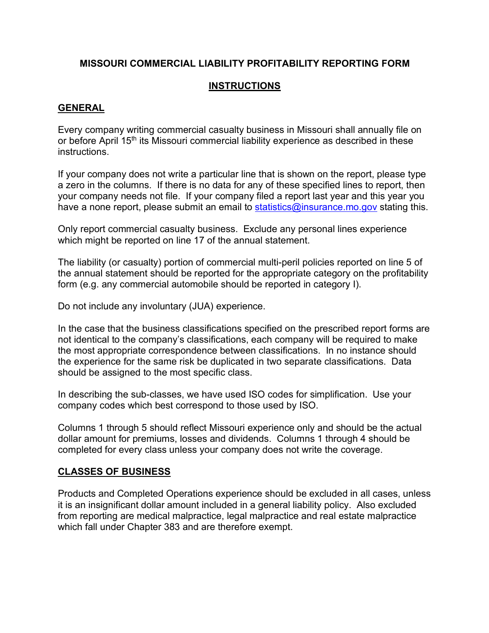# **MISSOURI COMMERCIAL LIABILITY PROFITABILITY REPORTING FORM**

# **INSTRUCTIONS**

## **GENERAL**

Every company writing commercial casualty business in Missouri shall annually file on or before April 15<sup>th</sup> its Missouri commercial liability experience as described in these instructions.

If your company does not write a particular line that is shown on the report, please type a zero in the columns. If there is no data for any of these specified lines to report, then your company needs not file. If your company filed a report last year and this year you have a none report, please submit an email to statistics@insurance.mo.gov stating this.

Only report commercial casualty business. Exclude any personal lines experience which might be reported on line 17 of the annual statement.

The liability (or casualty) portion of commercial multi-peril policies reported on line 5 of the annual statement should be reported for the appropriate category on the profitability form (e.g. any commercial automobile should be reported in category I).

Do not include any involuntary (JUA) experience.

In the case that the business classifications specified on the prescribed report forms are not identical to the company's classifications, each company will be required to make the most appropriate correspondence between classifications. In no instance should the experience for the same risk be duplicated in two separate classifications. Data should be assigned to the most specific class.

In describing the sub-classes, we have used ISO codes for simplification. Use your company codes which best correspond to those used by ISO.

Columns 1 through 5 should reflect Missouri experience only and should be the actual dollar amount for premiums, losses and dividends. Columns 1 through 4 should be completed for every class unless your company does not write the coverage.

### **CLASSES OF BUSINESS**

Products and Completed Operations experience should be excluded in all cases, unless it is an insignificant dollar amount included in a general liability policy. Also excluded from reporting are medical malpractice, legal malpractice and real estate malpractice which fall under Chapter 383 and are therefore exempt.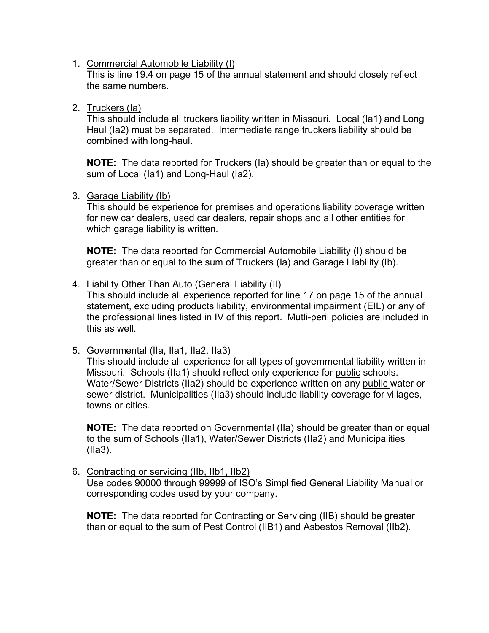1. Commercial Automobile Liability (I)

This is line 19.4 on page 15 of the annual statement and should closely reflect the same numbers.

2. Truckers (Ia)

This should include all truckers liability written in Missouri. Local (Ia1) and Long Haul (Ia2) must be separated. Intermediate range truckers liability should be combined with long-haul.

**NOTE:** The data reported for Truckers (Ia) should be greater than or equal to the sum of Local (Ia1) and Long-Haul (Ia2).

#### 3. Garage Liability (Ib)

This should be experience for premises and operations liability coverage written for new car dealers, used car dealers, repair shops and all other entities for which garage liability is written.

**NOTE:** The data reported for Commercial Automobile Liability (I) should be greater than or equal to the sum of Truckers (Ia) and Garage Liability (Ib).

#### 4. Liability Other Than Auto (General Liability (II)

This should include all experience reported for line 17 on page 15 of the annual statement, excluding products liability, environmental impairment (EIL) or any of the professional lines listed in IV of this report. Mutli-peril policies are included in this as well.

### 5. Governmental (IIa, IIa1, IIa2, IIa3)

This should include all experience for all types of governmental liability written in Missouri. Schools (IIa1) should reflect only experience for public schools. Water/Sewer Districts (IIa2) should be experience written on any public water or sewer district. Municipalities (IIa3) should include liability coverage for villages, towns or cities.

**NOTE:** The data reported on Governmental (IIa) should be greater than or equal to the sum of Schools (IIa1), Water/Sewer Districts (IIa2) and Municipalities (IIa3).

#### 6. Contracting or servicing (IIb, IIb1, IIb2) Use codes 90000 through 99999 of ISO's Simplified General Liability Manual or corresponding codes used by your company.

**NOTE:** The data reported for Contracting or Servicing (IIB) should be greater than or equal to the sum of Pest Control (IIB1) and Asbestos Removal (IIb2).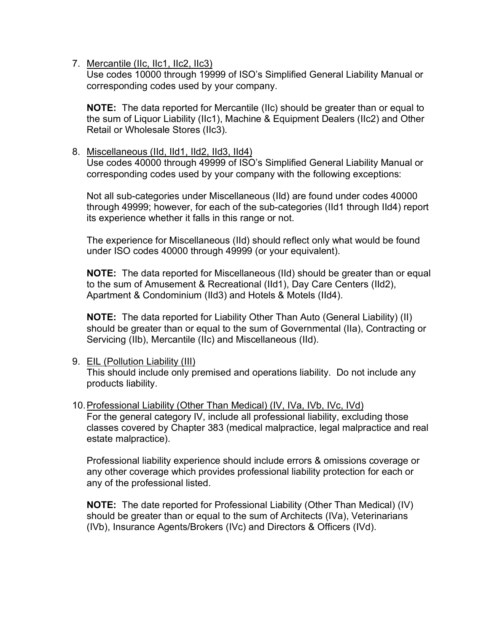7. Mercantile (IIc, IIc1, IIc2, IIc3)

Use codes 10000 through 19999 of ISO's Simplified General Liability Manual or corresponding codes used by your company.

**NOTE:** The data reported for Mercantile (IIc) should be greater than or equal to the sum of Liquor Liability (IIc1), Machine & Equipment Dealers (IIc2) and Other Retail or Wholesale Stores (IIc3).

#### 8. Miscellaneous (IId, IId1, IId2, IId3, IId4)

Use codes 40000 through 49999 of ISO's Simplified General Liability Manual or corresponding codes used by your company with the following exceptions:

Not all sub-categories under Miscellaneous (IId) are found under codes 40000 through 49999; however, for each of the sub-categories (IId1 through IId4) report its experience whether it falls in this range or not.

The experience for Miscellaneous (IId) should reflect only what would be found under ISO codes 40000 through 49999 (or your equivalent).

**NOTE:** The data reported for Miscellaneous (IId) should be greater than or equal to the sum of Amusement & Recreational (IId1), Day Care Centers (IId2), Apartment & Condominium (IId3) and Hotels & Motels (IId4).

**NOTE:** The data reported for Liability Other Than Auto (General Liability) (II) should be greater than or equal to the sum of Governmental (IIa), Contracting or Servicing (IIb), Mercantile (IIc) and Miscellaneous (IId).

#### 9. EIL (Pollution Liability (III)

This should include only premised and operations liability. Do not include any products liability.

10.Professional Liability (Other Than Medical) (IV, IVa, IVb, IVc, IVd) For the general category IV, include all professional liability, excluding those classes covered by Chapter 383 (medical malpractice, legal malpractice and real estate malpractice).

Professional liability experience should include errors & omissions coverage or any other coverage which provides professional liability protection for each or any of the professional listed.

**NOTE:** The date reported for Professional Liability (Other Than Medical) (IV) should be greater than or equal to the sum of Architects (IVa), Veterinarians (IVb), Insurance Agents/Brokers (IVc) and Directors & Officers (IVd).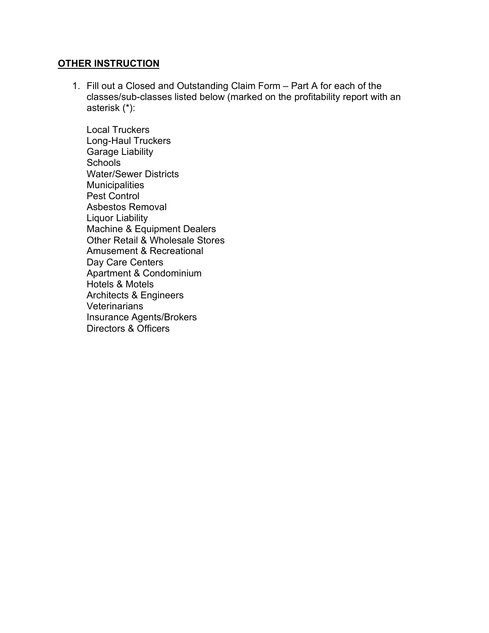#### **OTHER INSTRUCTION**

1. Fill out a Closed and Outstanding Claim Form – Part A for each of the classes/sub-classes listed below (marked on the profitability report with an asterisk (\*):

Local Truckers Long-Haul Truckers Garage Liability **Schools** Water/Sewer Districts **Municipalities** Pest Control Asbestos Removal Liquor Liability Machine & Equipment Dealers Other Retail & Wholesale Stores Amusement & Recreational Day Care Centers Apartment & Condominium Hotels & Motels Architects & Engineers Veterinarians Insurance Agents/Brokers Directors & Officers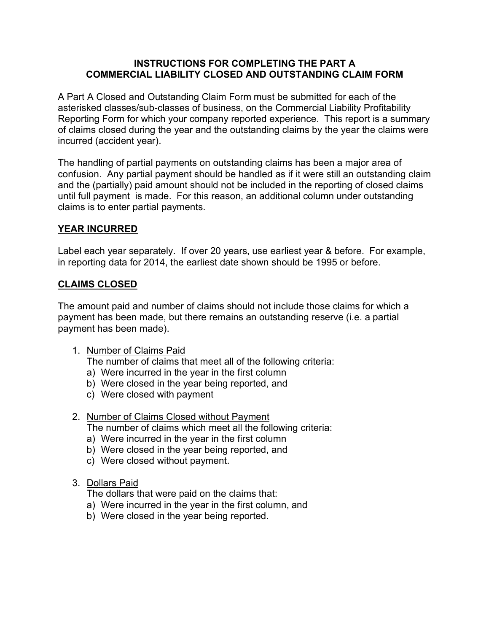## **INSTRUCTIONS FOR COMPLETING THE PART A COMMERCIAL LIABILITY CLOSED AND OUTSTANDING CLAIM FORM**

A Part A Closed and Outstanding Claim Form must be submitted for each of the asterisked classes/sub-classes of business, on the Commercial Liability Profitability Reporting Form for which your company reported experience. This report is a summary of claims closed during the year and the outstanding claims by the year the claims were incurred (accident year).

The handling of partial payments on outstanding claims has been a major area of confusion. Any partial payment should be handled as if it were still an outstanding claim and the (partially) paid amount should not be included in the reporting of closed claims until full payment is made. For this reason, an additional column under outstanding claims is to enter partial payments.

# **YEAR INCURRED**

Label each year separately. If over 20 years, use earliest year & before. For example, in reporting data for 2014, the earliest date shown should be 1995 or before.

# **CLAIMS CLOSED**

The amount paid and number of claims should not include those claims for which a payment has been made, but there remains an outstanding reserve (i.e. a partial payment has been made).

### 1. Number of Claims Paid

The number of claims that meet all of the following criteria:

- a) Were incurred in the year in the first column
- b) Were closed in the year being reported, and
- c) Were closed with payment
- 2. Number of Claims Closed without Payment

The number of claims which meet all the following criteria:

- a) Were incurred in the year in the first column
- b) Were closed in the year being reported, and
- c) Were closed without payment.
- 3. Dollars Paid

The dollars that were paid on the claims that:

- a) Were incurred in the year in the first column, and
- b) Were closed in the year being reported.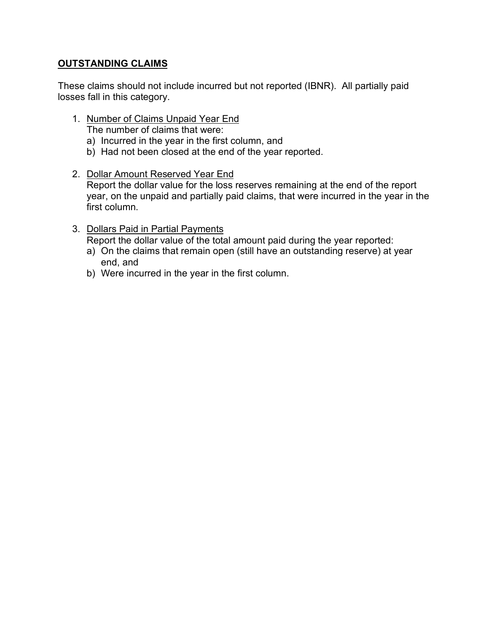# **OUTSTANDING CLAIMS**

These claims should not include incurred but not reported (IBNR). All partially paid losses fall in this category.

- 1. Number of Claims Unpaid Year End
	- The number of claims that were:
	- a) Incurred in the year in the first column, and
	- b) Had not been closed at the end of the year reported.
- 2. Dollar Amount Reserved Year End

Report the dollar value for the loss reserves remaining at the end of the report year, on the unpaid and partially paid claims, that were incurred in the year in the first column.

3. Dollars Paid in Partial Payments

Report the dollar value of the total amount paid during the year reported:

- a) On the claims that remain open (still have an outstanding reserve) at year end, and
- b) Were incurred in the year in the first column.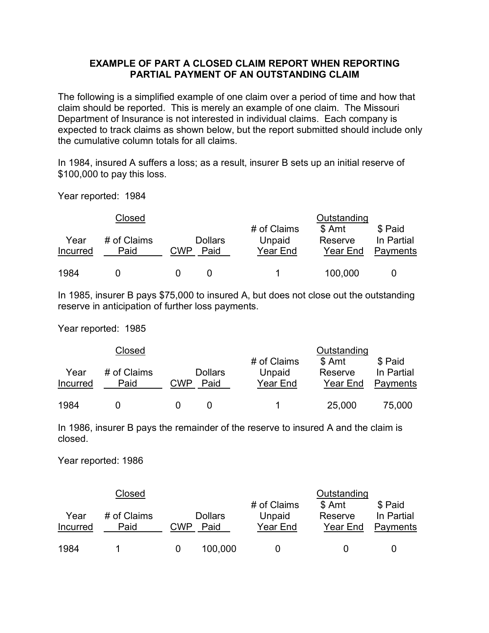### **EXAMPLE OF PART A CLOSED CLAIM REPORT WHEN REPORTING PARTIAL PAYMENT OF AN OUTSTANDING CLAIM**

The following is a simplified example of one claim over a period of time and how that claim should be reported. This is merely an example of one claim. The Missouri Department of Insurance is not interested in individual claims. Each company is expected to track claims as shown below, but the report submitted should include only the cumulative column totals for all claims.

In 1984, insured A suffers a loss; as a result, insurer B sets up an initial reserve of \$100,000 to pay this loss.

Year reported: 1984

| Closed           |                     |     |                        | Outstanding                       |                               |                                   |  |
|------------------|---------------------|-----|------------------------|-----------------------------------|-------------------------------|-----------------------------------|--|
| Year<br>Incurred | # of Claims<br>Paid | CWP | <b>Dollars</b><br>Paid | # of Claims<br>Unpaid<br>Year End | \$ Amt<br>Reserve<br>Year End | \$ Paid<br>In Partial<br>Payments |  |
| 1984             |                     |     |                        |                                   | 100,000                       |                                   |  |

In 1985, insurer B pays \$75,000 to insured A, but does not close out the outstanding reserve in anticipation of further loss payments.

Year reported: 1985

| Closed           |                     |     |                        | Outstanding                       |                               |                                   |  |
|------------------|---------------------|-----|------------------------|-----------------------------------|-------------------------------|-----------------------------------|--|
| Year<br>Incurred | # of Claims<br>Paid | CWP | <b>Dollars</b><br>Paid | # of Claims<br>Unpaid<br>Year End | \$ Amt<br>Reserve<br>Year End | \$ Paid<br>In Partial<br>Payments |  |
| 1984             |                     |     |                        |                                   | 25,000                        | 75,000                            |  |

In 1986, insurer B pays the remainder of the reserve to insured A and the claim is closed.

Year reported: 1986

| Closed           |                     |     |                        | Outstanding                       |                               |                                   |  |
|------------------|---------------------|-----|------------------------|-----------------------------------|-------------------------------|-----------------------------------|--|
| Year<br>Incurred | # of Claims<br>Paid | CWP | <b>Dollars</b><br>Paid | # of Claims<br>Unpaid<br>Year End | \$ Amt<br>Reserve<br>Year End | \$ Paid<br>In Partial<br>Payments |  |
| 1984             |                     |     | 100,000                |                                   |                               |                                   |  |